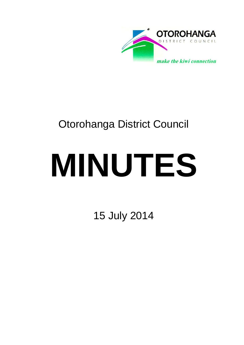

## Otorohanga District Council

# **MINUTES**

15 July 2014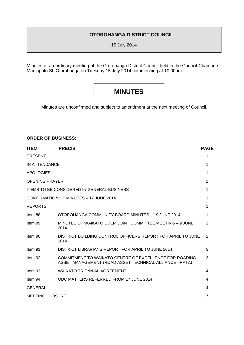#### **OTOROHANGA DISTRICT COUNCIL**

15 July 2014

Minutes of an ordinary meeting of the Otorohanga District Council held in the Council Chambers, Maniapoto St, Otorohanga on Tuesday 15 July 2014 commencing at 10.00am.

### **MINUTES**

Minutes are unconfirmed and subject to amendment at the next meeting of Council.

#### **ORDER OF BUSINESS:**

| <b>ITEM</b>                                       | <b>PRECIS</b>                                                                                                     | <b>PAGE</b>    |
|---------------------------------------------------|-------------------------------------------------------------------------------------------------------------------|----------------|
| <b>PRESENT</b>                                    |                                                                                                                   | 1              |
| IN ATTENDANCE                                     |                                                                                                                   | 1              |
| <b>APOLOGIES</b>                                  |                                                                                                                   | 1              |
| <b>OPENING PRAYER</b>                             |                                                                                                                   | 1              |
| <b>ITEMS TO BE CONSIDERED IN GENERAL BUSINESS</b> |                                                                                                                   | 1              |
| CONFIRMATION OF MINUTES - 17 JUNE 2014            |                                                                                                                   | 1              |
| <b>REPORTS</b>                                    |                                                                                                                   | 1              |
| Item 88                                           | OTOROHANGA COMMUNITY BOARD MINUTES - 19 JUNE 2014                                                                 | 1              |
| Item 89                                           | MINUTES OF WAIKATO CDEM JOINT COMMITTEE MEETING - 9 JUNE<br>2014                                                  | 1              |
| Item 90                                           | DISTRICT BUILDING CONTROL OFFICERS REPORT FOR APRIL TO JUNE<br>2014                                               | 2              |
| Item 91                                           | DISTRICT LIBRARIANS REPORT FOR APRIL TO JUNE 2014                                                                 | 3              |
| Item 92                                           | COMMITMENT TO WAIKATO CENTRE OF EXCELLENCE FOR ROADING<br>ASSET MANAGEMENT (ROAD ASSET TECHNICAL ALLIANCE - RATA) | 3              |
| Item 93                                           | <b>WAIKATO TRIENNIAL AGREEMENT</b>                                                                                | 4              |
| Item 94                                           | ODC MATTERS REFERRED FROM 17 JUNE 2014                                                                            | 4              |
| <b>GENERAL</b>                                    |                                                                                                                   | 4              |
| <b>MEETING CLOSURE</b>                            |                                                                                                                   | $\overline{7}$ |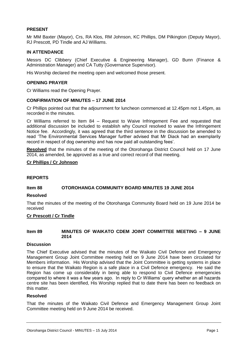#### **PRESENT**

Mr MM Baxter (Mayor), Crs, RA Klos, RM Johnson, KC Phillips, DM Pilkington (Deputy Mayor), RJ Prescott, PD Tindle and AJ Williams.

#### **IN ATTENDANCE**

Messrs DC Clibbery (Chief Executive & Engineering Manager), GD Bunn (Finance & Administration Manager) and CA Tutty (Governance Supervisor).

His Worship declared the meeting open and welcomed those present.

#### **OPENING PRAYER**

Cr Williams read the Opening Prayer.

#### **CONFIRMATION OF MINUTES – 17 JUNE 2014**

Cr Phillips pointed out that the adjournment for luncheon commenced at 12.45pm not 1.45pm, as recorded in the minutes.

Cr Williams referred to Item 84 – Request to Waive Infringement Fee and requested that additional discussion be included to establish why Council resolved to waive the Infringement Notice fee. Accordingly, it was agreed that the third sentence in the discussion be amended to read 'The Environmental Services Manager further advised that Mr Diack had an exemplarily record in respect of dog ownership and has now paid all outstanding fees'.

**Resolved** that the minutes of the meeting of the Otorohanga District Council held on 17 June 2014, as amended, be approved as a true and correct record of that meeting.

#### **Cr Phillips / Cr Johnson**

#### **REPORTS**

#### **Item 88 OTOROHANGA COMMUNITY BOARD MINUTES 19 JUNE 2014**

#### **Resolved**

That the minutes of the meeting of the Otorohanga Community Board held on 19 June 2014 be received

#### **Cr Prescott / Cr Tindle**

#### **Item 89 MINUTES OF WAIKATO CDEM JOINT COMMITTEE MEETING – 9 JUNE 2014**

#### **Discussion**

The Chief Executive advised that the minutes of the Waikato Civil Defence and Emergency Management Group Joint Committee meeting held on 9 June 2014 have been circulated for Members information. His Worship advised that the Joint Committee is getting systems in place to ensure that the Waikato Region is a safe place in a Civil Defence emergency. He said the Region has come up considerably in being able to respond to Civil Defence emergencies compared to where it was a few years ago. In reply to Cr Williams' query whether an all hazards centre site has been identified, His Worship replied that to date there has been no feedback on this matter.

#### **Resolved**

That the minutes of the Waikato Civil Defence and Emergency Management Group Joint Committee meeting held on 9 June 2014 be received.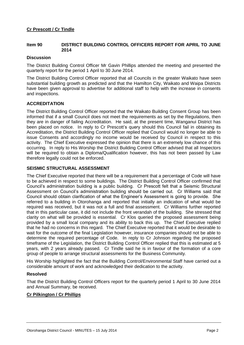#### **Item 90 DISTRICT BUILDING CONTROL OFFICERS REPORT FOR APRIL TO JUNE 2014**

#### **Discussion**

The District Building Control Officer Mr Gavin Phillips attended the meeting and presented the quarterly report for the period 1 April to 30 June 2014.

The District Building Control Officer reported that all Councils in the greater Waikato have seen substantial building growth as predicted and that the Hamilton City, Waikato and Waipa Districts have been given approval to advertise for additional staff to help with the increase in consents and inspections.

#### **ACCREDITATION**

The District Building Control Officer reported that the Waikato Building Consent Group has been informed that if a small Council does not meet the requirements as set by the Regulations, then they are in danger of failing Accreditation. He said, at the present time, Wanganui District has been placed on notice. In reply to Cr Prescott's query should this Council fail in obtaining its Accreditation, the District Building Control Officer replied that Council would no longer be able to issue Consents and accordingly no income would be received by Council in respect to this activity. The Chief Executive expressed the opinion that there is an extremely low chance of this occurring. In reply to His Worship the District Building Control Officer advised that all Inspectors will be required to obtain a Diploma/Qualification however, this has not been passed by Law therefore legally could not be enforced.

#### **SEISMIC STRUCTURAL ASSESSMENT**

The Chief Executive reported that there will be a requirement that a percentage of Code will have to be achieved in respect to some buildings. The District Building Control Officer confirmed that Council's administration building is a public building. Cr Prescott felt that a Seismic Structural Assessment on Council's administration building should be carried out. Cr Williams said that Council should obtain clarification of what the Engineer's Assessment is going to provide. She referred to a building in Otorohanga and reported that initially an indication of what would be required was received, but it was not a full and final assessment. Cr Williams further reported that in this particular case, it did not include the front verandah of the building. She stressed that clarity on what will be provided is essential. Cr Klos queried the proposed assessment being provided by a small local company and its ability to back this up. The Chief Executive replied that he had no concerns in this regard. The Chief Executive reported that it would be desirable to wait for the outcome of the final Legislation however, insurance companies should not be able to determine the required percentage of Code. In reply to Cr Johnson regarding the proposed timeframe of the Legislation, the District Building Control Officer replied that this is estimated at 5 years, with 2 years already passed. Cr Tindle said he is in favour of the formation of a core group of people to arrange structural assessments for the Business Community.

His Worship highlighted the fact that the Building Control/Environmental Staff have carried out a considerable amount of work and acknowledged their dedication to the activity.

#### **Resolved**

That the District Building Control Officers report for the quarterly period 1 April to 30 June 2014 and Annual Summary, be received.

#### **Cr Pilkington / Cr Phillips**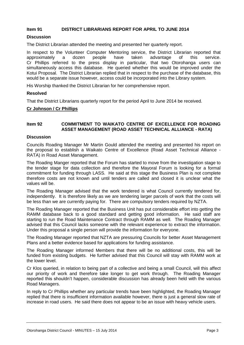#### **Item 91 DISTRICT LIBRARIANS REPORT FOR APRIL TO JUNE 2014**

#### **Discussion**

The District Librarian attended the meeting and presented her quarterly report.

In respect to the Volunteer Computer Mentoring service, the District Librarian reported that approximately a dozen people have taken advantage of this service. Cr Phillips referred to the press display in particular, that two Otorohanga users can simultaneously access this database. He queried whether this would be improved under the Kotui Proposal. The District Librarian replied that in respect to the purchase of the database, this would be a separate issue however, access could be incorporated into the Library system.

His Worship thanked the District Librarian for her comprehensive report.

#### **Resolved**

That the District Librarians quarterly report for the period April to June 2014 be received.

#### **Cr Johnson / Cr Phillips**

#### **Item 92 COMMITMENT TO WAIKATO CENTRE OF EXCELLENCE FOR ROADING ASSET MANAGEMENT (ROAD ASSET TECHNICAL ALLIANCE - RATA)**

#### **Discussion**

Councils Roading Manager Mr Martin Gould attended the meeting and presented his report on the proposal to establish a Waikato Centre of Excellence (Road Asset Technical Alliance - RATA) in Road Asset Management.

The Roading Manger reported that the Forum has started to move from the investigation stage to the tender stage for data collection and therefore the Mayoral Forum is looking for a formal commitment for funding through LASS. He said at this stage the Business Plan is not complete therefore costs are not known and until tenders are called and closed it is unclear what the values will be.

The Roading Manager advised that the work tendered is what Council currently tendered for, independently. It is therefore likely as we are tendering larger parcels of work that the costs will be less than we are currently paying for. There are compulsory tenders required by NZTA.

The Roading Manager reported that the Business Unit has put considerable effort into getting the RAMM database back to a good standard and getting good information. He said staff are starting to run the Road Maintenance Contract through RAMM as well. The Roading Manager advised that this Council lacks someone with the relevant experience to extract the information. Under this proposal a single person will provide the information for everyone.

The Roading Manager reported that NZTA are pressuring Councils for better Asset Management Plans and a better evidence based for applications for funding assistance.

The Roading Manager informed Members that there will be no additional costs, this will be funded from existing budgets. He further advised that this Council will stay with RAMM work at the lower level.

Cr Klos queried, in relation to being part of a collective and being a small Council, will this affect our priority of work and therefore take longer to get work through. The Roading Manager reported this shouldn't happen, considerable discussion has already been held with the various Road Managers.

In reply to Cr Phillips whether any particular trends have been highlighted, the Roading Manager replied that there is insufficient information available however, there is just a general slow rate of increase in road users. He said there does not appear to be an issue with heavy vehicle users.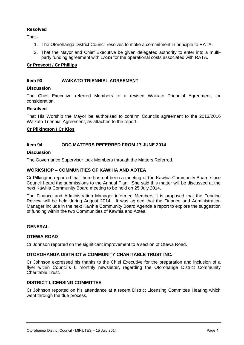#### **Resolved**

That -

- 1. The Otorohanga District Council resolves to make a commitment in principle to RATA.
- 2. That the Mayor and Chief Executive be given delegated authority to enter into a multiparty funding agreement with LASS for the operational costs associated with RATA.

#### **Cr Prescott / Cr Phillips**

#### **Item 93 WAIKATO TRIENNIAL AGREEMENT**

#### **Discussion**

The Chief Executive referred Members to a revised Waikato Triennial Agreement, for consideration.

#### **Resolved**

That His Worship the Mayor be authorised to confirm Councils agreement to the 2013/2016 Waikato Triennial Agreement, as attached to the report.

#### **Cr Pilkington / Cr Klos**

#### **Item 94 ODC MATTERS REFERRED FROM 17 JUNE 2014**

#### **Discussion**

The Governance Supervisor took Members through the Matters Referred.

#### **WORKSHOP – COMMUNITIES OF KAWHIA AND AOTEA**

Cr Pilkington reported that there has not been a meeting of the Kawhia Community Board since Council heard the submissions to the Annual Plan. She said this matter will be discussed at the next Kawhia Community Board meeting to be held on 25 July 2014.

The Finance and Administration Manager informed Members it is proposed that the Funding Review will be held during August 2014. It was agreed that the Finance and Administration Manager include in the next Kawhia Community Board Agenda a report to explore the suggestion of funding within the two Communities of Kawhia and Aotea.

#### **GENERAL**

#### **OTEWA ROAD**

Cr Johnson reported on the significant improvement to a section of Otewa Road.

#### **OTOROHANGA DISTRICT & COMMUNITY CHARITABLE TRUST INC.**

Cr Johnson expressed his thanks to the Chief Executive for the preparation and inclusion of a flyer within Council's 6 monthly newsletter, regarding the Otorohanga District Community Charitable Trust.

#### **DISTRICT LICENSING COMMITTEE**

Cr Johnson reported on his attendance at a recent District Licensing Committee Hearing which went through the due process.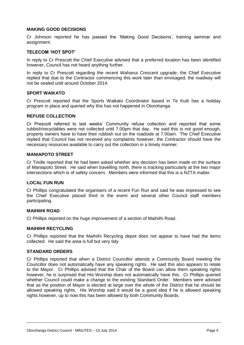#### **MAKING GOOD DECISIONS**

Cr Johnson reported he has passed the 'Making Good Decisions', training seminar and assignment.

#### **TELECOM 'HOT SPOT'**

In reply to Cr Prescott the Chief Executive advised that a preferred location has been identified however, Council has not heard anything further.

In reply to Cr Prescott regarding the recent Wahanui Crescent upgrade, the Chief Executive replied that due to the Contractor commencing this work later than envisaged, the roadway will not be sealed until around October 2014.

#### **SPORT WAIKATO**

Cr Prescott reported that the Sports Waikato Coordinator based in Te Kuiti has a holiday program in place and queried why this has not happened in Otorohanga.

#### **REFUSE COLLECTION**

Cr Prescott referred to last weeks' Community refuse collection and reported that some rubbish/recyclables were not collected until 7.00pm that day. He said this is not good enough, property owners have to have their rubbish out on the roadside at 7.00am. The Chief Executive replied that Council has not received any complaints however, the Contractor should have the necessary resources available to carry out the collection in a timely manner.

#### **MANIAPOTO STREET**

Cr Tindle reported that he had been asked whether any decision has been made on the surface of Maniapoto Street. He said when travelling north, there is tracking particularly at the two major intersections which is of safety concern. Members were informed that this is a NZTA matter.

#### **LOCAL FUN RUN**

Cr Phillips congratulated the organisers of a recent Fun Run and said he was impressed to see the Chief Executive placed third in the event and several other Council staff members participating.

#### **MAIHIIHI ROAD**

Cr Phillips reported on the huge improvement of a section of Maihiihi Road.

#### **MAIHIIHI RECYCLING**

Cr Phillips reported that the Maihiihi Recycling depot does not appear to have had the items collected. He said the area is full but very tidy.

#### **STANDARD ORDERS**

Cr Phillips reported that when a District Councillor attends a Community Board meeting the Councillor does not automatically have any speaking rights. He said this also appears to relate to the Mayor. Cr Phillips advised that the Chair of the Board can allow them speaking rights however, he is surprised that His Worship does not automatically have this. Cr Phillips queried whether Council could make a change to the existing Standard Order. Members were advised that as the position of Mayor is elected at large over the whole of the District that he should be allowed speaking rights. His Worship said it would be a good idea if he is allowed speaking rights however, up to now this has been allowed by both Community Boards.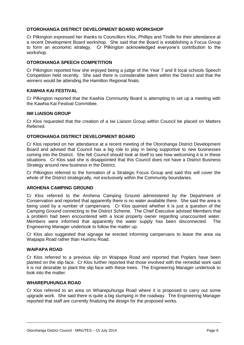#### **OTOROHANGA DISTRICT DEVELOPMENT BOARD WORKSHOP**

Cr Pilkington expressed her thanks to Councillors Klos, Phillips and Tindle for their attendance at a recent Development Board workshop. She said that the Board is establishing a Focus Group to form an economic strategy. Cr Pilkington acknowledged everyone's contribution to the workshop.

#### **OTOROHANGA SPEECH COMPETITION**

Cr Pilkington reported how she enjoyed being a judge of the Year 7 and 8 local schools Speech Competition held recently. She said there is considerable talent within the District and that the winners would be attending the Hamilton Regional finals.

#### **KAWHIA KAI FESTIVAL**

Cr Pilkington reported that the Kawhia Community Board is attempting to set up a meeting with the Kawhia Kai Festival Committee.

#### **IWI LIAISON GROUP**

Cr Klos requested that the creation of a Iwi Liaison Group within Council be placed on Matters Referred.

#### **OTOROHANGA DISTRICT DEVELOPMENT BOARD**

Cr Klos reported on her attendance at a recent meeting of the Otorohanga District Development Board and advised that Council has a big role to play in being supportive to new businesses coming into the District. She felt Council should look at itself to see how welcoming it is in these situations. Cr Klos said she is disappointed that this Council does not have a District Business Strategy around new business in the District.

Cr Pilkington referred to the formation of a Strategic Focus Group and said this will cover the whole of the District strategically, not exclusively within the Community boundaries.

#### **AROHENA CAMPING GROUND**

Cr Klos referred to the Arohena Camping Ground administered by the Department of Conservation and reported that apparently there is no water available there. She said the area is being used by a number of campervans. Cr Klos queried whether it is just a question of the Camping Ground connecting to the District Scheme. The Chief Executive advised Members that a problem had been encountered with a local property owner regarding unaccounted water. Members were informed that apparently the water supply has been disconnected. The Engineering Manager undertook to follow the matter up.

Cr Klos also suggested that signage be erected informing campervans to leave the area via Waipapa Road rather than Huirimu Road.

#### **WAIPAPA ROAD**

Cr Klos referred to a previous slip on Waipapa Road and reported that Poplars have been planted on the slip face. Cr Klos further reported that those involved with the remedial work said it is not desirable to plant the slip face with these trees. The Engineering Manager undertook to look into the matter.

#### **WHAREPUHUNGA ROAD**

Cr Klos referred to an area on Wharepuhunga Road where it is proposed to carry out some upgrade work. She said there is quite a big slumping in the roadway. The Engineering Manager reported that staff are currently finalizing the design for the proposed works.